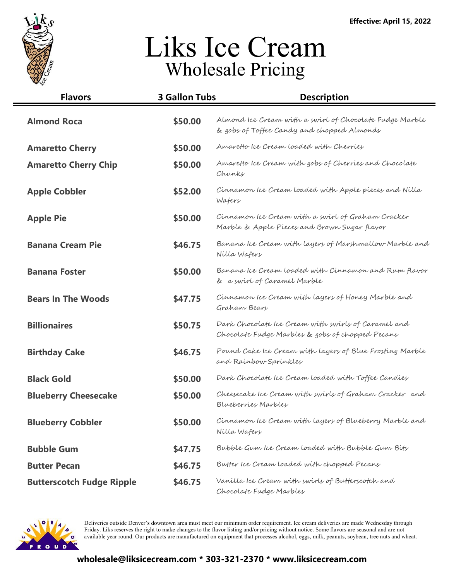

| <b>Flavors</b>                   | <b>3 Gallon Tubs</b> | <b>Description</b>                                                                                      |
|----------------------------------|----------------------|---------------------------------------------------------------------------------------------------------|
| <b>Almond Roca</b>               | \$50.00              | Almond Ice Cream with a swirl of Chocolate Fudge Marble<br>& gobs of Toffee Candy and chopped Almonds   |
| <b>Amaretto Cherry</b>           | \$50.00              | Amaretto Ice Cream Loaded with Cherries                                                                 |
| <b>Amaretto Cherry Chip</b>      | \$50.00              | Amaretto Ice Cream with gobs of Cherries and Chocolate<br>Chunks                                        |
| <b>Apple Cobbler</b>             | \$52.00              | Cinnamon Ice Cream loaded with Apple pieces and Nilla<br>Wafers                                         |
| <b>Apple Pie</b>                 | \$50.00              | Cinnamon Ice Cream with a swirl of Graham Cracker<br>Marble & Apple Pieces and Brown Sugar flavor       |
| <b>Banana Cream Pie</b>          | \$46.75              | Banana Ice Cream with layers of Marshmallow Marble and<br>Nilla Wafers                                  |
| <b>Banana Foster</b>             | \$50.00              | Banana Ice Cream loaded with Cinnamon and Rum flavor<br>& a swirl of Caramel Marble                     |
| <b>Bears In The Woods</b>        | \$47.75              | Cinnamon Ice Cream with layers of Honey Marble and<br>Graham Beary                                      |
| <b>Billionaires</b>              | \$50.75              | Dark Chocolate Ice Cream with swirls of Caramel and<br>Chocolate Fudge Marbles & gobs of chopped Pecans |
| <b>Birthday Cake</b>             | \$46.75              | Pound Cake Ice Cream with layers of Blue Frosting Marble<br>and Rainbow Sprinkles                       |
| <b>Black Gold</b>                | \$50.00              | Dark Chocolate Ice Cream loaded with Toffee Candies                                                     |
| <b>Blueberry Cheesecake</b>      | \$50.00              | Cheesecake Ice Cream with swirls of Graham Cracker and<br>Blueberries Marbles                           |
| <b>Blueberry Cobbler</b>         | \$50.00              | Cinnamon Ice Cream with layers of Blueberry Marble and<br>Nilla Wafers                                  |
| <b>Bubble Gum</b>                | \$47.75              | Bubble Gum Ice Cream loaded with Bubble Gum Bits                                                        |
| <b>Butter Pecan</b>              | \$46.75              | Butter Ice Cream loaded with chopped Pecans                                                             |
| <b>Butterscotch Fudge Ripple</b> | \$46.75              | Vanilla Ice Cream with swirls of Butterscotch and<br>Chocolate Fudge Marbles                            |

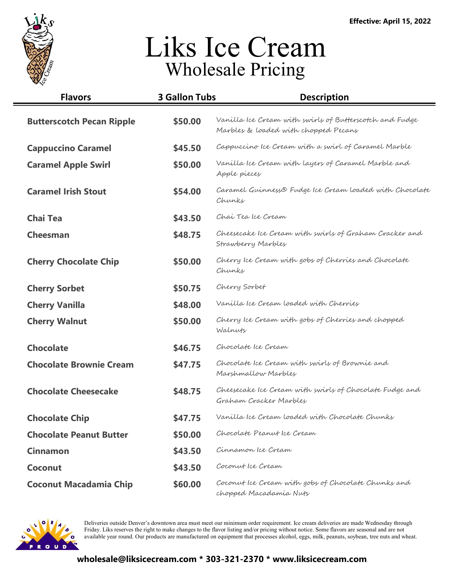

| <b>Flavors</b>                   | <b>3 Gallon Tubs</b> | <b>Description</b>                                                                              |
|----------------------------------|----------------------|-------------------------------------------------------------------------------------------------|
| <b>Butterscotch Pecan Ripple</b> | \$50.00              | Vanilla Ice Cream with swirls of Butterscotch and Fudge<br>Marbles & loaded with chopped Pecans |
| <b>Cappuccino Caramel</b>        | \$45.50              | Cappuccino Ice Cream with a swirl of Caramel Marble                                             |
| <b>Caramel Apple Swirl</b>       | \$50.00              | Vanilla Ice Cream with layers of Caramel Marble and<br>Apple pieces                             |
| <b>Caramel Irish Stout</b>       | \$54.00              | Caramel Guinness® Fudge Ice Cream loaded with Chocolate<br>Chunks                               |
| <b>Chai Tea</b>                  | \$43.50              | Chai Tea Ice Cream                                                                              |
| <b>Cheesman</b>                  | \$48.75              | Cheesecake Ice Cream with swirls of Graham Cracker and<br>Strawberry Marbles                    |
| <b>Cherry Chocolate Chip</b>     | \$50.00              | Cherry Ice Cream with gobs of Cherries and Chocolate<br>Chunks                                  |
| <b>Cherry Sorbet</b>             | \$50.75              | Cherry Sorbet                                                                                   |
| <b>Cherry Vanilla</b>            | \$48.00              | Vanilla Ice Cream loaded with Cherries                                                          |
| <b>Cherry Walnut</b>             | \$50.00              | Cherry Ice Cream with gobs of Cherries and chopped<br>Walnuty                                   |
| <b>Chocolate</b>                 | \$46.75              | Chocolate Ice Cream                                                                             |
| <b>Chocolate Brownie Cream</b>   | \$47.75              | Chocolate Ice Cream with swirls of Brownie and<br>Marshmallow Marbles                           |
| <b>Chocolate Cheesecake</b>      | \$48.75              | Cheesecake Ice Cream with swirls of Chocolate Fudge and<br>Graham Cracker Marbles               |
| <b>Chocolate Chip</b>            | \$47.75              | Vanilla Ice Cream loaded with Chocolate Chunks                                                  |
| <b>Chocolate Peanut Butter</b>   | \$50.00              | Chocolate Peanut Ice Cream                                                                      |
| <b>Cinnamon</b>                  | \$43.50              | Cinnamon Ice Cream                                                                              |
| Coconut                          | \$43.50              | Coconut Ice Cream                                                                               |
| <b>Coconut Macadamia Chip</b>    | \$60.00              | Coconut Ice Cream with gobs of Chocolate Chunks and<br>chopped Macadamia Nuty                   |

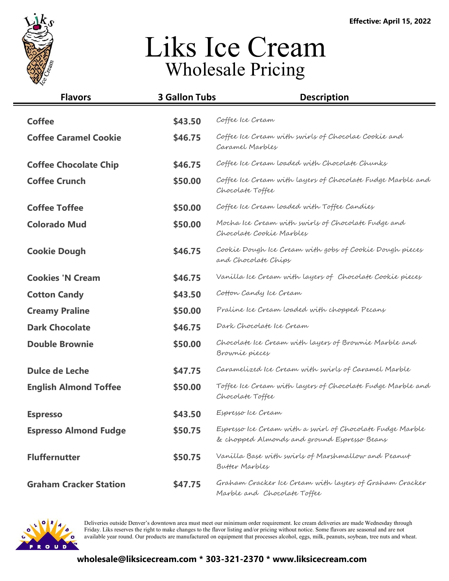

| <b>Flavors</b>                | <b>3 Gallon Tubs</b> | <b>Description</b>                                                                                       |
|-------------------------------|----------------------|----------------------------------------------------------------------------------------------------------|
| <b>Coffee</b>                 | \$43.50              | Coffee Ice Cream                                                                                         |
| <b>Coffee Caramel Cookie</b>  | \$46.75              | Coffee Ice Cream with swirls of Chocolae Cookie and<br>Caramel Marbles                                   |
| <b>Coffee Chocolate Chip</b>  | \$46.75              | Coffee Ice Cream loaded with Chocolate Chunks                                                            |
| <b>Coffee Crunch</b>          | \$50.00              | Coffee Ice Cream with layers of Chocolate Fudge Marble and<br>Chocolate Toffee                           |
| <b>Coffee Toffee</b>          | \$50.00              | Coffee Ice Cream loaded with Toffee Candies                                                              |
| <b>Colorado Mud</b>           | \$50.00              | Mocha Ice Cream with swirls of Chocolate Fudge and<br>Chocolate Cookie Marbles                           |
| <b>Cookie Dough</b>           | \$46.75              | Cookie Dough Ice Cream with gobs of Cookie Dough pieces<br>and Chocolate Chips                           |
| <b>Cookies 'N Cream</b>       | \$46.75              | Vanilla Ice Cream with layers of Chocolate Cookie pieces                                                 |
| <b>Cotton Candy</b>           | \$43.50              | Cotton Candy Ice Cream                                                                                   |
| <b>Creamy Praline</b>         | \$50.00              | Praline Ice Cream loaded with chopped Pecans                                                             |
| <b>Dark Chocolate</b>         | \$46.75              | Dark Chocolate Ice Cream                                                                                 |
| <b>Double Brownie</b>         | \$50.00              | Chocolate Ice Cream with layers of Brownie Marble and<br>Brownie pieces                                  |
| Dulce de Leche                | \$47.75              | Caramelized Ice Cream with swirls of Caramel Marble                                                      |
| <b>English Almond Toffee</b>  | \$50.00              | Toffee Ice Cream with layers of Chocolate Fudge Marble and<br>Chocolate Toffee                           |
| <b>Espresso</b>               | \$43.50              | Espresso Ice Cream                                                                                       |
| <b>Espresso Almond Fudge</b>  | \$50.75              | Espresso Ice Cream with a swirl of Chocolate Fudge Marble<br>& chopped Almonds and ground Espresso Beans |
| <b>Fluffernutter</b>          | \$50.75              | Vanilla Base with swirls of Marshmallow and Peanut<br>Butter Marbles                                     |
| <b>Graham Cracker Station</b> | \$47.75              | Graham Cracker Ice Cream with layers of Graham Cracker<br>Marble and Chocolate Toffee                    |

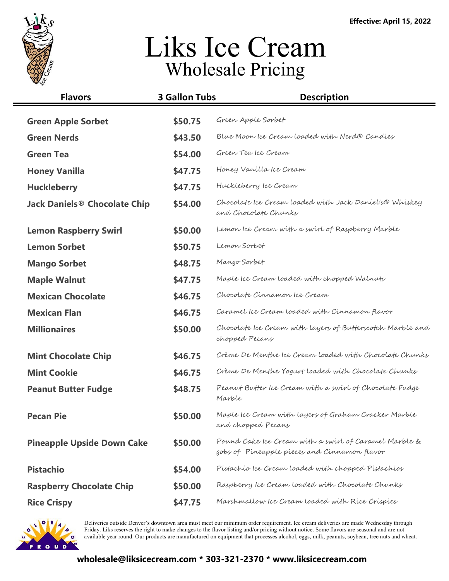

| <b>Flavors</b>                      | <b>3 Gallon Tubs</b> | <b>Description</b>                                                                                    |
|-------------------------------------|----------------------|-------------------------------------------------------------------------------------------------------|
| <b>Green Apple Sorbet</b>           | \$50.75              | Green Apple Sorbet                                                                                    |
| <b>Green Nerds</b>                  | \$43.50              | Blue Moon Ice Cream loaded with Nerd® Candies                                                         |
| <b>Green Tea</b>                    | \$54.00              | Green Tea Ice Cream                                                                                   |
| <b>Honey Vanilla</b>                | \$47.75              | Honey Vanilla Ice Cream                                                                               |
| <b>Huckleberry</b>                  | \$47.75              | Huckleberry Ice Cream                                                                                 |
| <b>Jack Daniels® Chocolate Chip</b> | \$54.00              | Chocolate Ice Cream loaded with Jack Daniel's Whiskey<br>and Chocolate Chunks                         |
| <b>Lemon Raspberry Swirl</b>        | \$50.00              | Lemon Ice Cream with a swirl of Raspberry Marble                                                      |
| <b>Lemon Sorbet</b>                 | \$50.75              | Lemon Sorbet                                                                                          |
| <b>Mango Sorbet</b>                 | \$48.75              | Mango Sorbet                                                                                          |
| <b>Maple Walnut</b>                 | \$47.75              | Maple Ice Cream loaded with chopped Walnuts                                                           |
| <b>Mexican Chocolate</b>            | \$46.75              | Chocolate Cinnamon Ice Cream                                                                          |
| <b>Mexican Flan</b>                 | \$46.75              | Caramel Ice Cream loaded with Cinnamon flavor                                                         |
| <b>Millionaires</b>                 | \$50.00              | Chocolate Ice Cream with layers of Butterscotch Marble and<br>chopped Pecans                          |
| <b>Mint Chocolate Chip</b>          | \$46.75              | Crème De Menthe Ice Cream Loaded with Chocolate Chunks                                                |
| <b>Mint Cookie</b>                  | \$46.75              | Crème De Menthe Yogurt Loaded with Chocolate Chunks                                                   |
| <b>Peanut Butter Fudge</b>          | \$48.75              | Peanut Butter Ice Cream with a swirl of Chocolate Fudge<br>Marble                                     |
| <b>Pecan Pie</b>                    | \$50.00              | Maple Ice Cream with layers of Graham Cracker Marble<br>and chopped Pecans                            |
| <b>Pineapple Upside Down Cake</b>   | \$50.00              | Pound Cake Ice Cream with a swirl of Caramel Marble &<br>gobs of Pineapple pieces and Cinnamon flavor |
| <b>Pistachio</b>                    | \$54.00              | Pistachio Ice Cream loaded with chopped Pistachios                                                    |
| <b>Raspberry Chocolate Chip</b>     | \$50.00              | Raspberry Ice Cream loaded with Chocolate Chunks                                                      |
| <b>Rice Crispy</b>                  | \$47.75              | Marshmallow Ice Cream loaded with Rice Crispies                                                       |

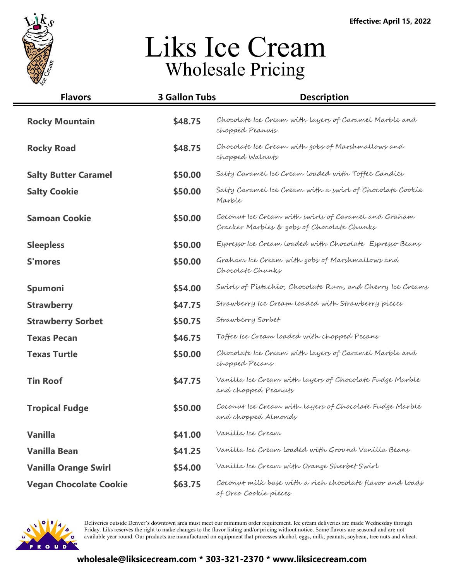

| <b>Flavors</b>                | <b>3 Gallon Tubs</b> | <b>Description</b>                                                                                |
|-------------------------------|----------------------|---------------------------------------------------------------------------------------------------|
| <b>Rocky Mountain</b>         | \$48.75              | Chocolate Ice Cream with layers of Caramel Marble and<br>chopped Peanuty                          |
| <b>Rocky Road</b>             | \$48.75              | Chocolate Ice Cream with gobs of Marshmallows and<br>chopped Walnuts                              |
| <b>Salty Butter Caramel</b>   | \$50.00              | Salty Caramel Ice Cream loaded with Toffee Candies                                                |
| <b>Salty Cookie</b>           | \$50.00              | Salty Caramel Ice Cream with a swirl of Chocolate Cookie<br>Marble                                |
| <b>Samoan Cookie</b>          | \$50.00              | Coconut Ice Cream with swirls of Caramel and Graham<br>Cracker Marbles & gobs of Chocolate Chunks |
| <b>Sleepless</b>              | \$50.00              | Espresso Ice Cream loaded with Chocolate Espresso Beans                                           |
| <b>S'mores</b>                | \$50.00              | Graham Ice Cream with gobs of Marshmallows and<br>Chocolate Chunks                                |
| Spumoni                       | \$54.00              | Swirls of Pistachio, Chocolate Rum, and Cherry Ice Creams                                         |
| <b>Strawberry</b>             | \$47.75              | Strawberry Ice Cream loaded with Strawberry pieces                                                |
| <b>Strawberry Sorbet</b>      | \$50.75              | Strawberry Sorbet                                                                                 |
| <b>Texas Pecan</b>            | \$46.75              | Toffee Ice Cream loaded with chopped Pecans                                                       |
| <b>Texas Turtle</b>           | \$50.00              | Chocolate Ice Cream with layers of Caramel Marble and<br>chopped Pecans                           |
| <b>Tin Roof</b>               | \$47.75              | Vanilla Ice Cream with layers of Chocolate Fudge Marble<br>and chopped Peanuty                    |
| <b>Tropical Fudge</b>         | \$50.00              | Coconut Ice Cream with layers of Chocolate Fudge Marble<br>and chopped Almondy                    |
| <b>Vanilla</b>                | \$41.00              | Vanilla Ice Cream                                                                                 |
| <b>Vanilla Bean</b>           | \$41.25              | Vanilla Ice Cream loaded with Ground Vanilla Beans                                                |
| <b>Vanilla Orange Swirl</b>   | \$54.00              | Vanilla Ice Cream with Orange Sherbet Swirl                                                       |
| <b>Vegan Chocolate Cookie</b> | \$63.75              | Coconut milk base with a rich chocolate flavor and loads<br>of Oreo Cookie pieces                 |